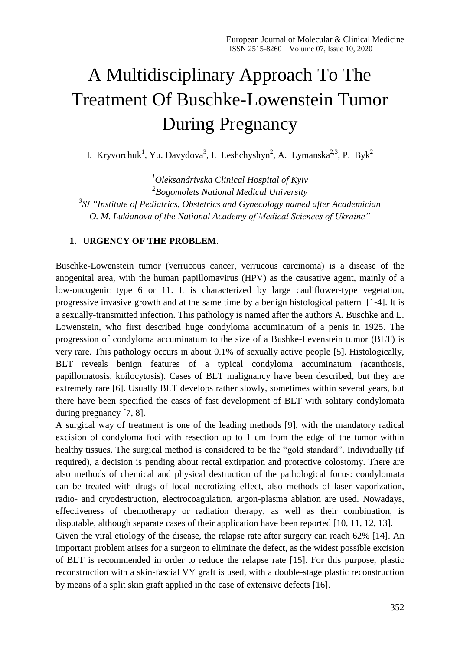# A Multidisciplinary Approach To The Treatment Of Buschke-Lowenstein Tumor During Pregnancy

I. Kryvorchuk<sup>1</sup>, Yu. Davydova<sup>3</sup>, I. Leshchyshyn<sup>2</sup>, A. Lymanska<sup>2,3</sup>, P. Byk<sup>2</sup>

*Oleksandrivska Clinical Hospital of Kyiv Bogomolets National Medical University SI "Institute of Pediatrics, Obstetrics and Gynecology named after Academician O. M. Lukianova of the National Academy of Medical Sciences of Ukraine"*

#### **1. URGENCY OF THE PROBLEM**.

Buschke-Lowenstein tumor (verrucous cancer, verrucous carcinoma) is a disease of the anogenital area, with the human papillomavirus (HPV) as the causative agent, mainly of a low-oncogenic type 6 or 11. It is characterized by large cauliflower-type vegetation, progressive invasive growth and at the same time by a benign histological pattern [1-4]. It is a sexually-transmitted infection. This pathology is named after the authors A. Buschke and L. Lowenstein, who first described huge condyloma accuminatum of a penis in 1925. The progression of condyloma accuminatum to the size of a Bushke-Levenstein tumor (BLT) is very rare. This pathology occurs in about 0.1% of sexually active people [5]. Histologically, BLT reveals benign features of a typical condyloma accuminatum (acanthosis, papillomatosis, koilocytosis). Cases of BLT malignancy have been described, but they are extremely rare [6]. Usually BLT develops rather slowly, sometimes within several years, but there have been specified the cases of fast development of BLT with solitary condylomata during pregnancy [7, 8].

A surgical way of treatment is one of the leading methods [9], with the mandatory radical excision of condyloma foci with resection up to 1 cm from the edge of the tumor within healthy tissues. The surgical method is considered to be the "gold standard". Individually (if required), a decision is pending about rectal extirpation and protective colostomy. There are also methods of chemical and physical destruction of the pathological focus: condylomata can be treated with drugs of local necrotizing effect, also methods of laser vaporization, radio- and cryodestruction, electrocoagulation, argon-plasma ablation are used. Nowadays, effectiveness of chemotherapy or radiation therapy, as well as their combination, is disputable, although separate cases of their application have been reported [10, 11, 12, 13].

Given the viral etiology of the disease, the relapse rate after surgery can reach 62% [14]. An important problem arises for a surgeon to eliminate the defect, as the widest possible excision of BLT is recommended in order to reduce the relapse rate [15]. For this purpose, plastic reconstruction with a skin-fascial VY graft is used, with a double-stage plastic reconstruction by means of a split skin graft applied in the case of extensive defects [16].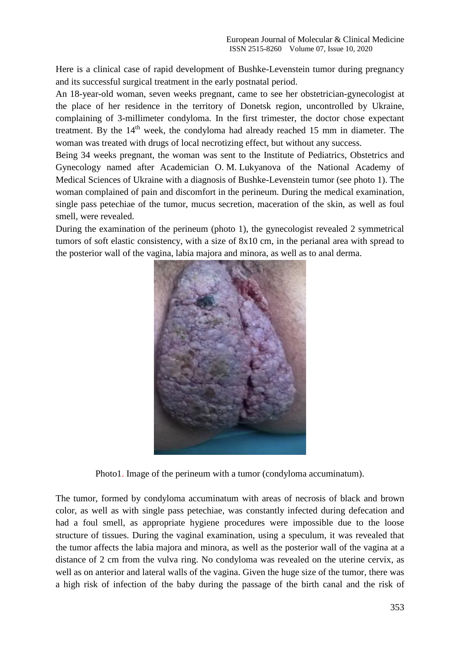Here is a clinical case of rapid development of Bushke-Levenstein tumor during pregnancy and its successful surgical treatment in the early postnatal period.

An 18-year-old woman, seven weeks pregnant, came to see her obstetrician-gynecologist at the place of her residence in the territory of Donetsk region, uncontrolled by Ukraine, complaining of 3-millimeter condyloma. In the first trimester, the doctor chose expectant treatment. By the  $14<sup>th</sup>$  week, the condyloma had already reached 15 mm in diameter. The woman was treated with drugs of local necrotizing effect, but without any success.

Being 34 weeks pregnant, the woman was sent to the Institute of Pediatrics, Obstetrics and Gynecology named after Academician O. M. Lukyanova of the National Academy of Medical Sciences of Ukraine with a diagnosis of Bushke-Levenstein tumor (see photo 1). The woman complained of pain and discomfort in the perineum. During the medical examination, single pass petechiae of the tumor, mucus secretion, maceration of the skin, as well as foul smell, were revealed.

During the examination of the perineum (photo 1), the gynecologist revealed 2 symmetrical tumors of soft elastic consistency, with a size of 8x10 cm, in the perianal area with spread to the posterior wall of the vagina, labia majora and minora, as well as to anal derma.



Photo1. Image of the perineum with a tumor (condyloma accuminatum).

The tumor, formed by condyloma accuminatum with areas of necrosis of black and brown color, as well as with single pass petechiae, was constantly infected during defecation and had a foul smell, as appropriate hygiene procedures were impossible due to the loose structure of tissues. During the vaginal examination, using a speculum, it was revealed that the tumor affects the labia majora and minora, as well as the posterior wall of the vagina at a distance of 2 cm from the vulva ring. No condyloma was revealed on the uterine cervix, as well as on anterior and lateral walls of the vagina. Given the huge size of the tumor, there was a high risk of infection of the baby during the passage of the birth canal and the risk of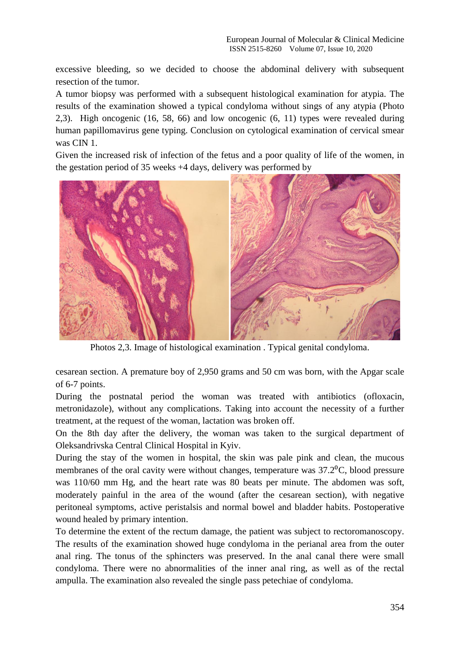excessive bleeding, so we decided to choose the abdominal delivery with subsequent resection of the tumor.

A tumor biopsy was performed with a subsequent histological examination for atypia. The results of the examination showed a typical condyloma without sings of any atypia (Photo 2,3). High oncogenic (16, 58, 66) and low oncogenic (6, 11) types were revealed during human papillomavirus gene typing. Conclusion on cytological examination of cervical smear was CIN 1.

Given the increased risk of infection of the fetus and a poor quality of life of the women, in the gestation period of 35 weeks +4 days, delivery was performed by



Photos 2,3. Image of histological examination . Typical genital condyloma.

cesarean section. A premature boy of 2,950 grams and 50 cm was born, with the Apgar scale of 6-7 points.

During the postnatal period the woman was treated with antibiotics (ofloxacin, metronidazole), without any complications. Taking into account the necessity of a further treatment, at the request of the woman, lactation was broken off.

On the 8th day after the delivery, the woman was taken to the surgical department of Oleksandrivska Central Clinical Hospital in Kyiv.

During the stay of the women in hospital, the skin was pale pink and clean, the mucous membranes of the oral cavity were without changes, temperature was  $37.2$ <sup>o</sup>C, blood pressure was 110/60 mm Hg, and the heart rate was 80 beats per minute. The abdomen was soft, moderately painful in the area of the wound (after the cesarean section), with negative peritoneal symptoms, active peristalsis and normal bowel and bladder habits. Postoperative wound healed by primary intention.

To determine the extent of the rectum damage, the patient was subject to rectoromanoscopy. The results of the examination showed huge condyloma in the perianal area from the outer anal ring. The tonus of the sphincters was preserved. In the anal canal there were small condyloma. There were no abnormalities of the inner anal ring, as well as of the rectal ampulla. The examination also revealed the single pass petechiae of condyloma.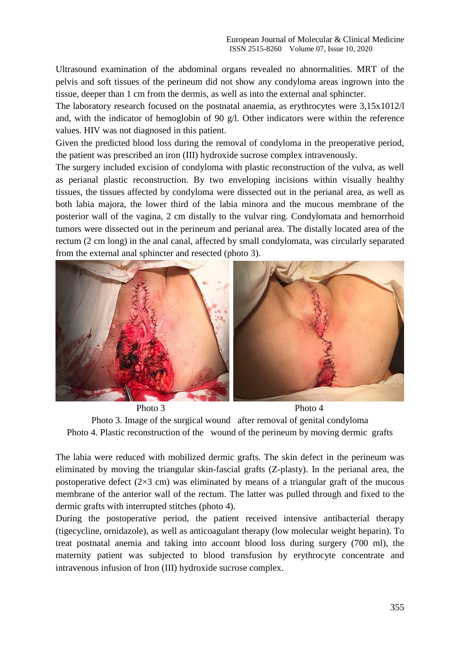Ultrasound examination of the abdominal organs revealed no abnormalities. MRT of the pelvis and soft tissues of the perineum did not show any condyloma areas ingrown into the tissue, deeper than 1 cm from the dermis, as well as into the external anal sphincter.

The laboratory research focused on the postnatal anaemia, as erythrocytes were 3.15x1012/l and, with the indicator of hemoglobin of 90 g/l. Other indicators were within the reference values. HIV was not diagnosed in this patient.

Given the predicted blood loss during the removal of condyloma in the preoperative period, the patient was prescribed an iron (III) hydroxide sucrose complex intravenously.

The surgery included excision of condyloma with plastic reconstruction of the vulva, as well as perianal plastic reconstruction. By two enveloping incisions within visually healthy tissues, the tissues affected by condyloma were dissected out in the perianal area, as well as both labia majora, the lower third of the labia minora and the mucous membrane of the posterior wall of the vagina, 2 cm distally to the vulvar ring. Condylomata and hemorrhoid tumors were dissected out in the perineum and perianal area. The distally located area of the rectum (2 cm long) in the anal canal, affected by small condylomata, was circularly separated from the external anal sphincter and resected (photo 3).



Photo 3 Photo 4 Photo 3. Image of the surgical wound after removal of genital condyloma Photo 4. Plastic reconstruction of the wound of the perineum by moving dermic grafts

The labia were reduced with mobilized dermic grafts. The skin defect in the perineum was eliminated by moving the triangular skin-fascial grafts (Z-plasty). In the perianal area, the postoperative defect  $(2\times3$  cm) was eliminated by means of a triangular graft of the mucous membrane of the anterior wall of the rectum. The latter was pulled through and fixed to the dermic grafts with interrupted stitches (photo 4).

During the postoperative period, the patient received intensive antibacterial therapy (tigecycline, ornidazole), as well as anticoagulant therapy (low molecular weight heparin). To treat postnatal anemia and taking into account blood loss during surgery (700 ml), the maternity patient was subjected to blood transfusion by erythrocyte concentrate and intravenous infusion of Iron (III) hydroxide sucrose complex.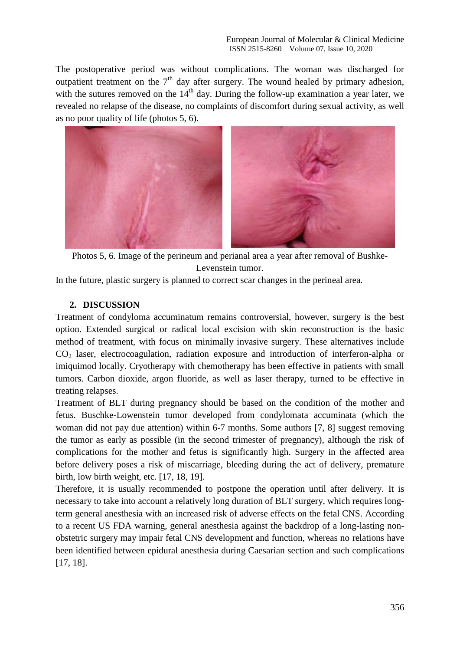The postoperative period was without complications. The woman was discharged for outpatient treatment on the  $7<sup>th</sup>$  day after surgery. The wound healed by primary adhesion, with the sutures removed on the  $14<sup>th</sup>$  day. During the follow-up examination a year later, we revealed no relapse of the disease, no complaints of discomfort during sexual activity, as well as no poor quality of life (photos 5, 6).



Photos 5, 6. Image of the perineum and perianal area a year after removal of Bushke-Levenstein tumor.

In the future, plastic surgery is planned to correct scar changes in the perineal area.

### **2. DISCUSSION**

Treatment of condyloma accuminatum remains controversial, however, surgery is the best option. Extended surgical or radical local excision with skin reconstruction is the basic method of treatment, with focus on minimally invasive surgery. These alternatives include  $CO<sub>2</sub>$  laser, electrocoagulation, radiation exposure and introduction of interferon-alpha or imiquimod locally. Cryotherapy with chemotherapy has been effective in patients with small tumors. Carbon dioxide, argon fluoride, as well as laser therapy, turned to be effective in treating relapses.

Treatment of BLT during pregnancy should be based on the condition of the mother and fetus. Buschke-Lowenstein tumor developed from condylomata accuminata (which the woman did not pay due attention) within 6-7 months. Some authors [7, 8] suggest removing the tumor as early as possible (in the second trimester of pregnancy), although the risk of complications for the mother and fetus is significantly high. Surgery in the affected area before delivery poses a risk of miscarriage, bleeding during the act of delivery, premature birth, low birth weight, etc. [17, 18, 19].

Therefore, it is usually recommended to postpone the operation until after delivery. It is necessary to take into account a relatively long duration of BLT surgery, which requires longterm general anesthesia with an increased risk of adverse effects on the fetal CNS. According to a recent US FDA warning, general anesthesia against the backdrop of a long-lasting nonobstetric surgery may impair fetal CNS development and function, whereas no relations have been identified between epidural anesthesia during Caesarian section and such complications [17, 18].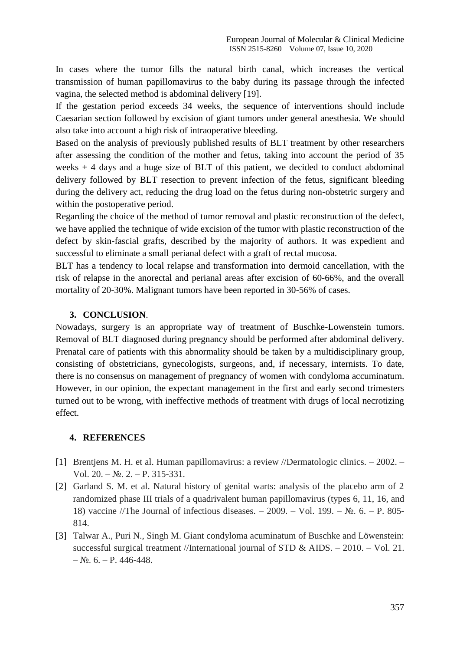In cases where the tumor fills the natural birth canal, which increases the vertical transmission of human papillomavirus to the baby during its passage through the infected vagina, the selected method is abdominal delivery [19].

If the gestation period exceeds 34 weeks, the sequence of interventions should include Caesarian section followed by excision of giant tumors under general anesthesia. We should also take into account a high risk of intraoperative bleeding.

Based on the analysis of previously published results of BLT treatment by other researchers after assessing the condition of the mother and fetus, taking into account the period of 35 weeks + 4 days and a huge size of BLT of this patient, we decided to conduct abdominal delivery followed by BLT resection to prevent infection of the fetus, significant bleeding during the delivery act, reducing the drug load on the fetus during non-obstetric surgery and within the postoperative period.

Regarding the choice of the method of tumor removal and plastic reconstruction of the defect, we have applied the technique of wide excision of the tumor with plastic reconstruction of the defect by skin-fascial grafts, described by the majority of authors. It was expedient and successful to eliminate a small perianal defect with a graft of rectal mucosa.

BLT has a tendency to local relapse and transformation into dermoid cancellation, with the risk of relapse in the anorectal and perianal areas after excision of 60-66%, and the overall mortality of 20-30%. Malignant tumors have been reported in 30-56% of cases.

### **3. CONCLUSION**.

Nowadays, surgery is an appropriate way of treatment of Buschke-Lowenstein tumors. Removal of BLT diagnosed during pregnancy should be performed after abdominal delivery. Prenatal care of patients with this abnormality should be taken by a multidisciplinary group, consisting of obstetricians, gynecologists, surgeons, and, if necessary, internists. To date, there is no consensus on management of pregnancy of women with condyloma accuminatum. However, in our opinion, the expectant management in the first and early second trimesters turned out to be wrong, with ineffective methods of treatment with drugs of local necrotizing effect.

## **4. REFERENCES**

- [1] Brentjens M. H. et al. Human papillomavirus: a review //Dermatologic clinics. 2002. Vol.  $20. - N_2$ ,  $2. - P$ ,  $315-331$ .
- [2] Garland S. M. et al. Natural history of genital warts: analysis of the placebo arm of 2 randomized phase III trials of a quadrivalent human papillomavirus (types 6, 11, 16, and 18) vaccine //The Journal of infectious diseases. – 2009. – Vol. 199. – №. 6. – P. 805- 814.
- [3] Talwar A., Puri N., Singh M. Giant condyloma acuminatum of Buschke and Löwenstein: successful surgical treatment //International journal of STD & AIDS. – 2010. – Vol. 21.  $-\mathcal{N}_{2}$ . 6. – P. 446-448.